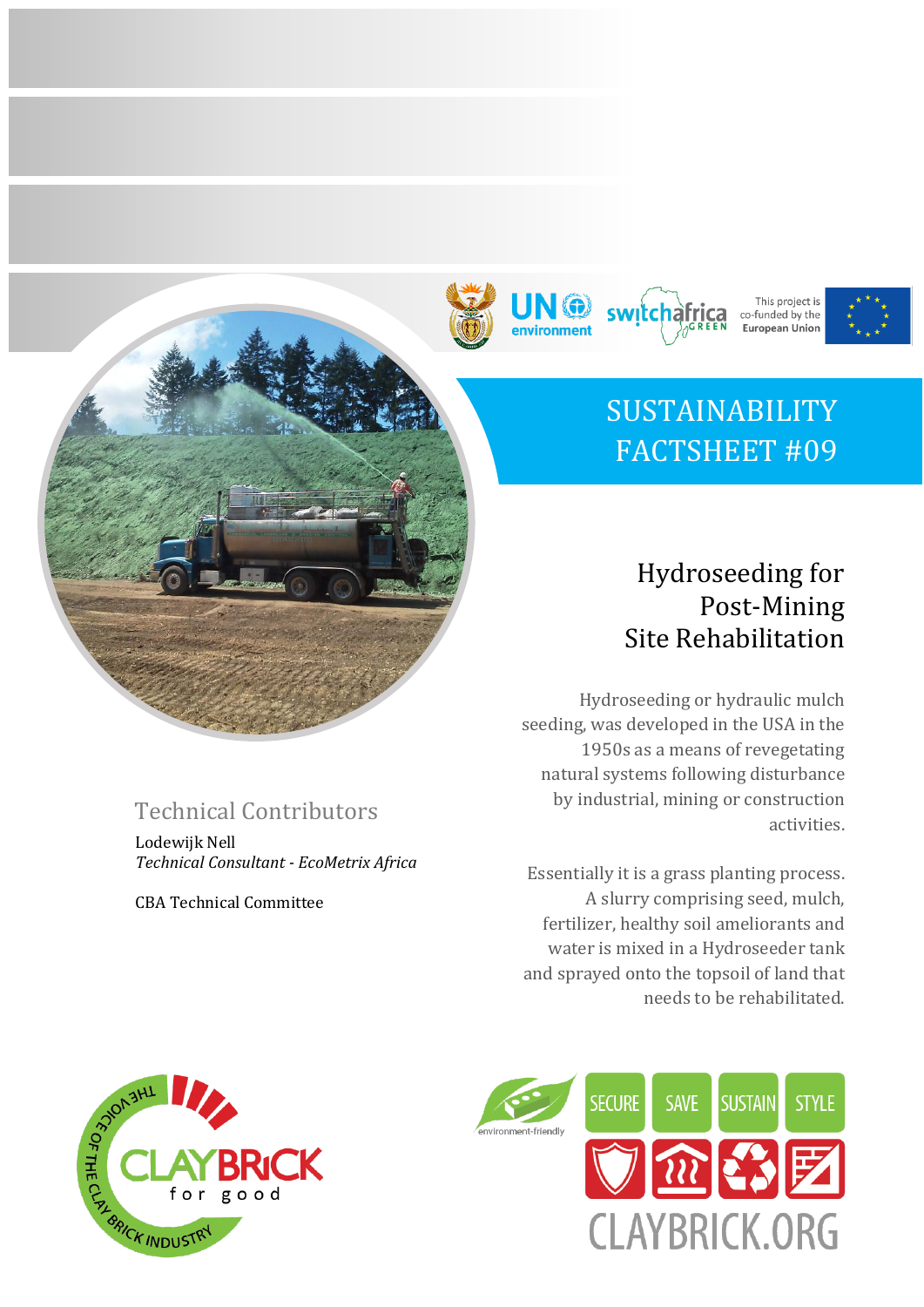



switcha

This project is

co-funded by the **European Union** 

# Hydroseeding for Post-Mining Site Rehabilitation

Hydroseeding or hydraulic mulch seeding, was developed in the USA in the 1950s as a means of revegetating natural systems following disturbance by industrial, mining or construction activities.

Essentially it is a grass planting process. A slurry comprising seed, mulch, fertilizer, healthy soil ameliorants and water is mixed in a Hydroseeder tank and sprayed onto the topsoil of land that needs to be rehabilitated.



# Technical Contributors

Lodewijk Nell *Technical Consultant - EcoMetrix Africa*

CBA Technical Committee

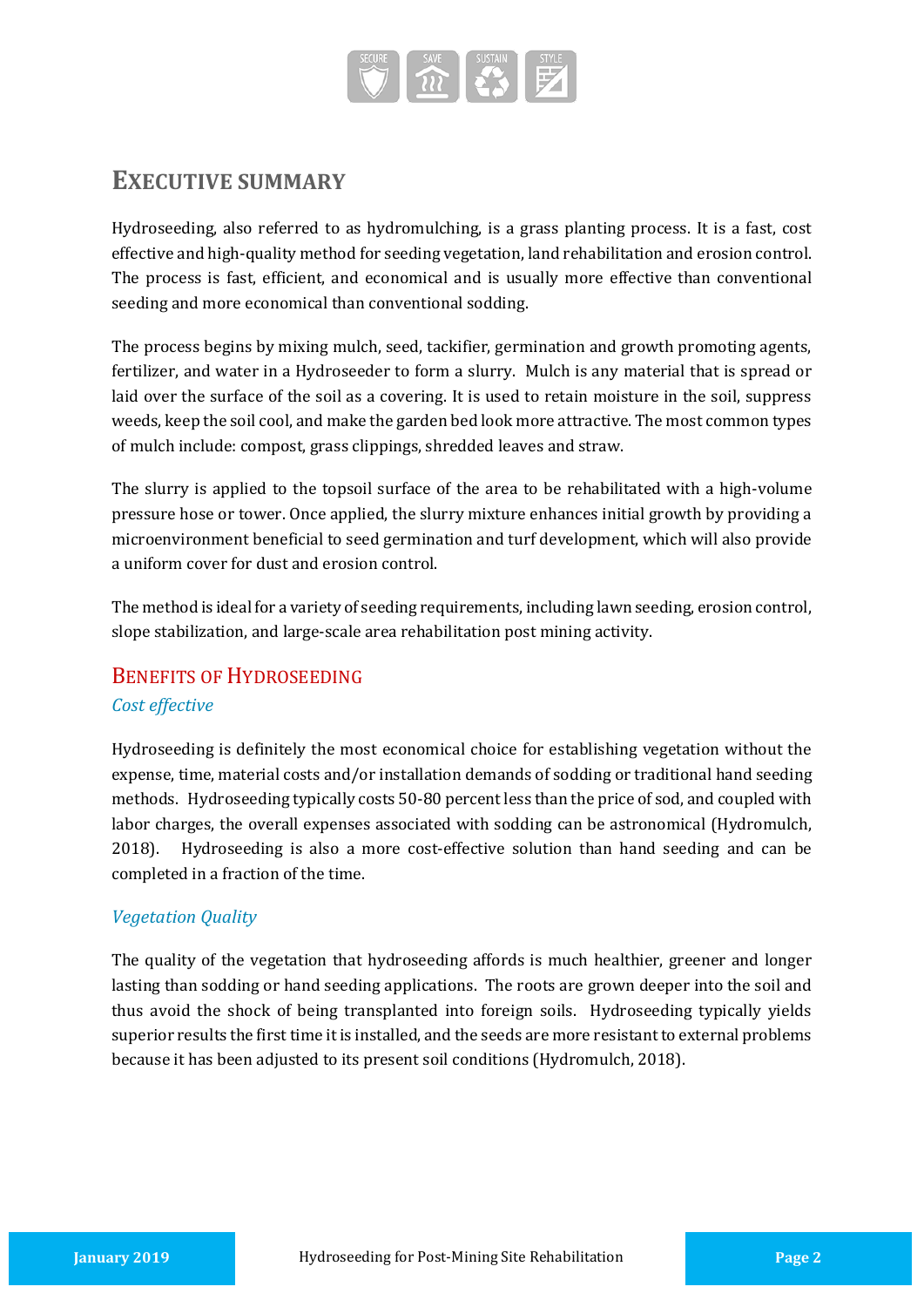

# **EXECUTIVE SUMMARY**

Hydroseeding, also referred to as hydromulching, is a grass planting process. It is a fast, cost effective and high-quality method for seeding vegetation, land rehabilitation and erosion control. The process is fast, efficient, and economical and is usually more effective than conventional seeding and more economical than conventional sodding.

The process begins by mixing mulch, seed, tackifier, germination and growth promoting agents, fertilizer, and water in a Hydroseeder to form a slurry. Mulch is any material that is spread or laid over the surface of the soil as a covering. It is used to retain moisture in the soil, suppress weeds, keep the soil cool, and make the garden bed look more attractive. The most common types of mulch include: compost, grass clippings, shredded leaves and straw.

The slurry is applied to the topsoil surface of the area to be rehabilitated with a high-volume pressure hose or tower. Once applied, the slurry mixture enhances initial growth by providing a microenvironment beneficial to seed germination and turf development, which will also provide a uniform cover for dust and erosion control.

The method is ideal for a variety of seeding requirements, including lawn seeding, erosion control, slope stabilization, and large-scale area rehabilitation post mining activity.

### BENEFITS OF HYDROSEEDING

#### *Cost effective*

Hydroseeding is definitely the most economical choice for establishing vegetation without the expense, time, material costs and/or installation demands of sodding or traditional hand seeding methods. Hydroseeding typically costs 50-80 percent less than the price of sod, and coupled with labor charges, the overall expenses associated with sodding can be astronomical (Hydromulch, 2018). Hydroseeding is also a more cost-effective solution than hand seeding and can be completed in a fraction of the time.

#### *Vegetation Quality*

The quality of the vegetation that hydroseeding affords is much healthier, greener and longer lasting than sodding or hand seeding applications. The roots are grown deeper into the soil and thus avoid the shock of being transplanted into foreign soils. Hydroseeding typically yields superior results the first time it is installed, and the seeds are more resistant to external problems because it has been adjusted to its present soil conditions (Hydromulch, 2018).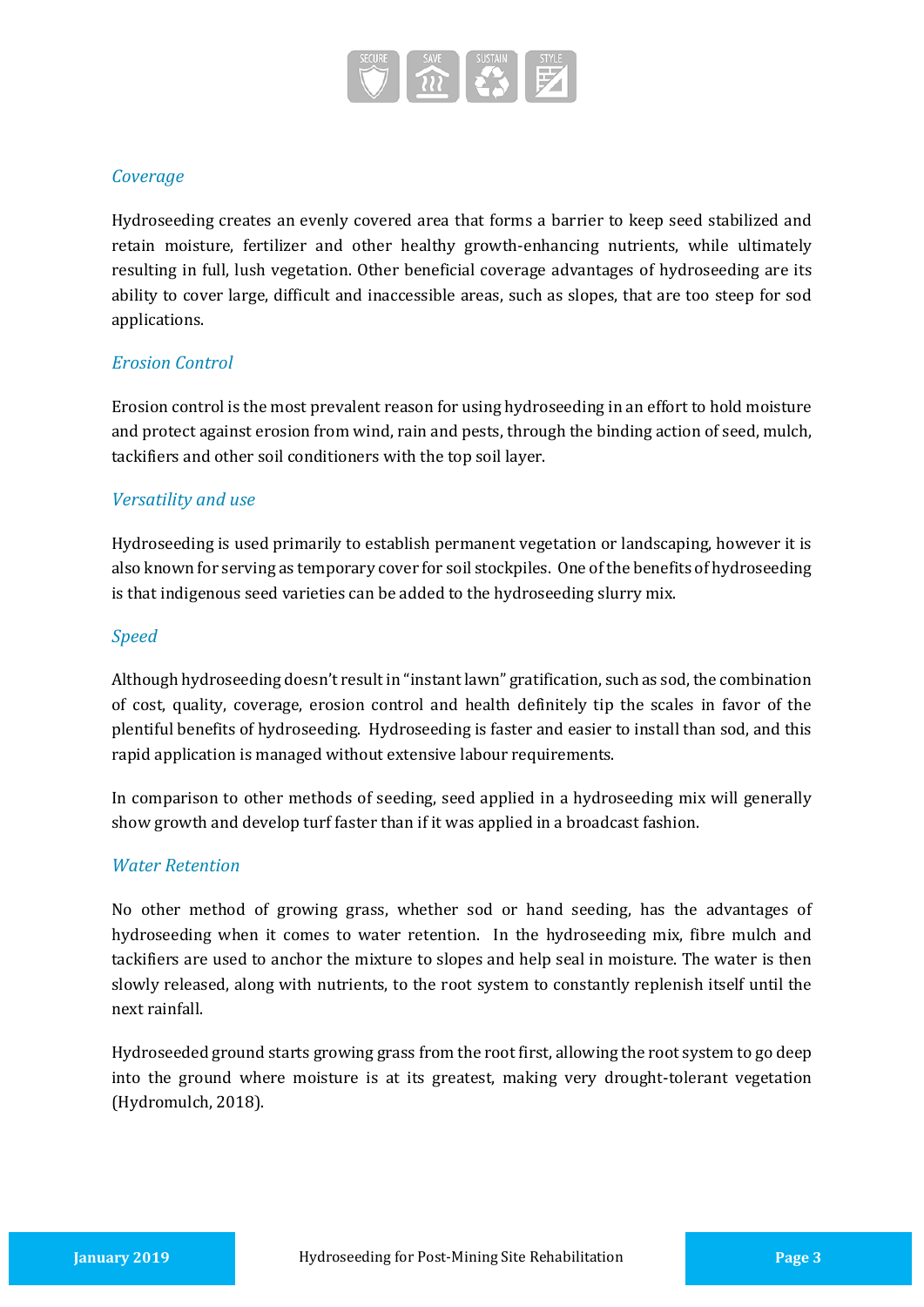

#### *Coverage*

Hydroseeding creates an evenly covered area that forms a barrier to keep seed stabilized and retain moisture, fertilizer and other healthy growth-enhancing nutrients, while ultimately resulting in full, lush vegetation. Other beneficial coverage advantages of hydroseeding are its ability to cover large, difficult and inaccessible areas, such as slopes, that are too steep for sod applications.

#### *Erosion Control*

Erosion control is the most prevalent reason for using hydroseeding in an effort to hold moisture and protect against erosion from wind, rain and pests, through the binding action of seed, mulch, tackifiers and other soil conditioners with the top soil layer.

#### *Versatility and use*

Hydroseeding is used primarily to establish permanent vegetation or landscaping, however it is also known for serving as temporary cover for soil stockpiles. One of the benefits of hydroseeding is that indigenous seed varieties can be added to the hydroseeding slurry mix.

#### *Speed*

Although hydroseeding doesn't result in "instant lawn" gratification, such as sod, the combination of cost, quality, coverage, erosion control and health definitely tip the scales in favor of the plentiful benefits of hydroseeding. Hydroseeding is faster and easier to install than sod, and this rapid application is managed without extensive labour requirements.

In comparison to other methods of seeding, seed applied in a hydroseeding mix will generally show growth and develop turf faster than if it was applied in a broadcast fashion.

#### *Water Retention*

No other method of growing grass, whether sod or hand seeding, has the advantages of hydroseeding when it comes to water retention. In the hydroseeding mix, fibre mulch and tackifiers are used to anchor the mixture to slopes and help seal in moisture. The water is then slowly released, along with nutrients, to the root system to constantly replenish itself until the next rainfall.

Hydroseeded ground starts growing grass from the root first, allowing the root system to go deep into the ground where moisture is at its greatest, making very drought-tolerant vegetation (Hydromulch, 2018).